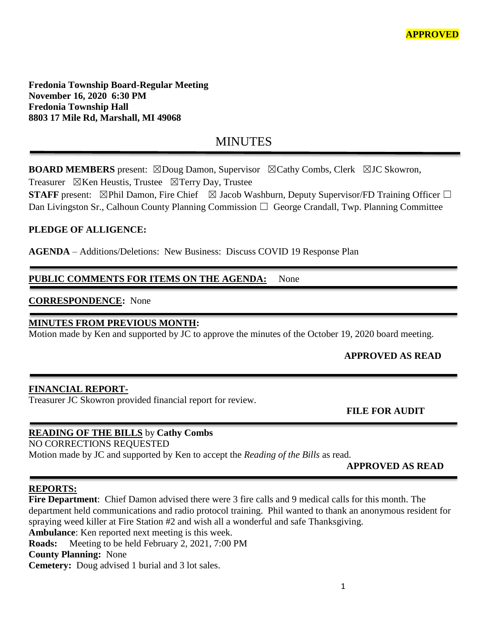**Fredonia Township Board-Regular Meeting November 16, 2020 6:30 PM Fredonia Township Hall 8803 17 Mile Rd, Marshall, MI 49068**

# **MINUTES**

**BOARD MEMBERS** present: ⊠Doug Damon, Supervisor ⊠Cathy Combs, Clerk ⊠JC Skowron,

Treasurer  $\boxtimes$ Ken Heustis, Trustee  $\boxtimes$ Terry Day, Trustee

**STAFF** present:  $\boxtimes$ Phil Damon, Fire Chief  $\boxtimes$  Jacob Washburn, Deputy Supervisor/FD Training Officer  $\Box$ Dan Livingston Sr., Calhoun County Planning Commission  $\Box$  George Crandall, Twp. Planning Committee

## **PLEDGE OF ALLIGENCE:**

**AGENDA** – Additions/Deletions: New Business: Discuss COVID 19 Response Plan

## **PUBLIC COMMENTS FOR ITEMS ON THE AGENDA:** None

#### **CORRESPONDENCE:** None

#### **MINUTES FROM PREVIOUS MONTH:**

Motion made by Ken and supported by JC to approve the minutes of the October 19, 2020 board meeting.

## **APPROVED AS READ**

## **FINANCIAL REPORT-**

Treasurer JC Skowron provided financial report for review.

 **FILE FOR AUDIT** 

## **READING OF THE BILLS** by **Cathy Combs**

NO CORRECTIONS REQUESTED

Motion made by JC and supported by Ken to accept the *Reading of the Bills* as read.

## **APPROVED AS READ**

## **REPORTS:**

**Fire Department**: Chief Damon advised there were 3 fire calls and 9 medical calls for this month. The department held communications and radio protocol training. Phil wanted to thank an anonymous resident for spraying weed killer at Fire Station #2 and wish all a wonderful and safe Thanksgiving. **Ambulance**: Ken reported next meeting is this week.

**Roads:** Meeting to be held February 2, 2021, 7:00 PM

**County Planning:** None

**Cemetery:** Doug advised 1 burial and 3 lot sales.